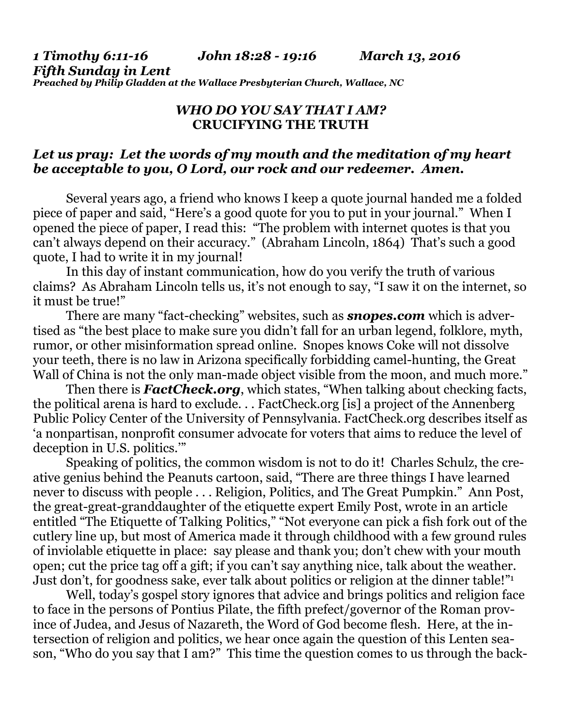*1 Timothy 6:11-16 John 18:28 - 19:16 March 13, 2016* 

*Fifth Sunday in Lent Preached by Philip Gladden at the Wallace Presbyterian Church, Wallace, NC* 

## *WHO DO YOU SAY THAT I AM?*  **CRUCIFYING THE TRUTH**

## *Let us pray: Let the words of my mouth and the meditation of my heart be acceptable to you, O Lord, our rock and our redeemer. Amen.*

Several years ago, a friend who knows I keep a quote journal handed me a folded piece of paper and said, "Here's a good quote for you to put in your journal." When I opened the piece of paper, I read this: "The problem with internet quotes is that you can't always depend on their accuracy." (Abraham Lincoln, 1864) That's such a good quote, I had to write it in my journal!

 In this day of instant communication, how do you verify the truth of various claims? As Abraham Lincoln tells us, it's not enough to say, "I saw it on the internet, so it must be true!"

 There are many "fact-checking" websites, such as *[snopes.com](http://snopes.com)* which is advertised as "the best place to make sure you didn't fall for an urban legend, folklore, myth, rumor, or other misinformation spread online. Snopes knows Coke will not dissolve your teeth, there is no law in Arizona specifically forbidding camel-hunting, the Great Wall of China is not the only man-made object visible from the moon, and much more."

 Then there is *[FactCheck.org](http://FactCheck.org)*, which states, "When talking about checking facts, the political arena is hard to exclude. . . [FactCheck.org](http://FactCheck.org) [is] a project of the Annenberg Public Policy Center of the University of Pennsylvania. [FactCheck.org](http://FactCheck.org) describes itself as 'a nonpartisan, nonprofit consumer advocate for voters that aims to reduce the level of deception in U.S. politics.'"

 Speaking of p0litics, the common wisdom is not to do it! Charles Schulz, the creative genius behind the Peanuts cartoon, said, "There are three things I have learned never to discuss with people . . . Religion, Politics, and The Great Pumpkin." Ann Post, the great-great-granddaughter of the etiquette expert Emily Post, wrote in an article entitled "The Etiquette of Talking Politics," "Not everyone can pick a fish fork out of the cutlery line up, but most of America made it through childhood with a few ground rules of inviolable etiquette in place: say please and thank you; don't chew with your mouth open; cut the price tag off a gift; if you can't say anything nice, talk about the weather. Just don't, for goodness sake, ever talk about politics or religion at the dinner table!"1

 Well, today's gospel story ignores that advice and brings politics and religion face to face in the persons of Pontius Pilate, the fifth prefect/governor of the Roman province of Judea, and Jesus of Nazareth, the Word of God become flesh. Here, at the intersection of religion and politics, we hear once again the question of this Lenten season, "Who do you say that I am?" This time the question comes to us through the back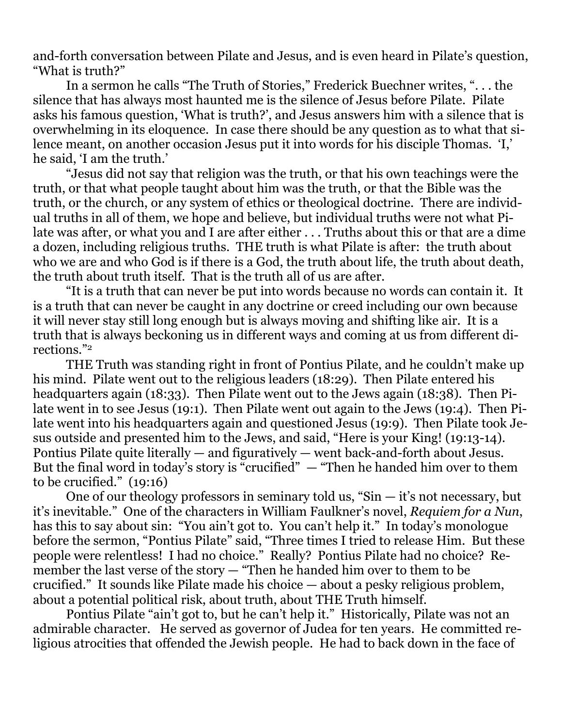and-forth conversation between Pilate and Jesus, and is even heard in Pilate's question, "What is truth?"

 In a sermon he calls "The Truth of Stories," Frederick Buechner writes, ". . . the silence that has always most haunted me is the silence of Jesus before Pilate. Pilate asks his famous question, 'What is truth?', and Jesus answers him with a silence that is overwhelming in its eloquence. In case there should be any question as to what that silence meant, on another occasion Jesus put it into words for his disciple Thomas. 'I,' he said, 'I am the truth.'

 "Jesus did not say that religion was the truth, or that his own teachings were the truth, or that what people taught about him was the truth, or that the Bible was the truth, or the church, or any system of ethics or theological doctrine. There are individual truths in all of them, we hope and believe, but individual truths were not what Pilate was after, or what you and I are after either . . . Truths about this or that are a dime a dozen, including religious truths. THE truth is what Pilate is after: the truth about who we are and who God is if there is a God, the truth about life, the truth about death, the truth about truth itself. That is the truth all of us are after.

 "It is a truth that can never be put into words because no words can contain it. It is a truth that can never be caught in any doctrine or creed including our own because it will never stay still long enough but is always moving and shifting like air. It is a truth that is always beckoning us in different ways and coming at us from different directions."2

 THE Truth was standing right in front of Pontius Pilate, and he couldn't make up his mind. Pilate went out to the religious leaders (18:29). Then Pilate entered his headquarters again (18:33). Then Pilate went out to the Jews again (18:38). Then Pilate went in to see Jesus (19:1). Then Pilate went out again to the Jews (19:4). Then Pilate went into his headquarters again and questioned Jesus (19:9). Then Pilate took Jesus outside and presented him to the Jews, and said, "Here is your King! (19:13-14). Pontius Pilate quite literally — and figuratively — went back-and-forth about Jesus. But the final word in today's story is "crucified"  $-$  "Then he handed him over to them to be crucified." (19:16)

 One of our theology professors in seminary told us, "Sin — it's not necessary, but it's inevitable." One of the characters in William Faulkner's novel, *Requiem for a Nun*, has this to say about sin: "You ain't got to. You can't help it." In today's monologue before the sermon, "Pontius Pilate" said, "Three times I tried to release Him. But these people were relentless! I had no choice." Really? Pontius Pilate had no choice? Remember the last verse of the story — "Then he handed him over to them to be crucified." It sounds like Pilate made his choice — about a pesky religious problem, about a potential political risk, about truth, about THE Truth himself.

 Pontius Pilate "ain't got to, but he can't help it." Historically, Pilate was not an admirable character. He served as governor of Judea for ten years. He committed religious atrocities that offended the Jewish people. He had to back down in the face of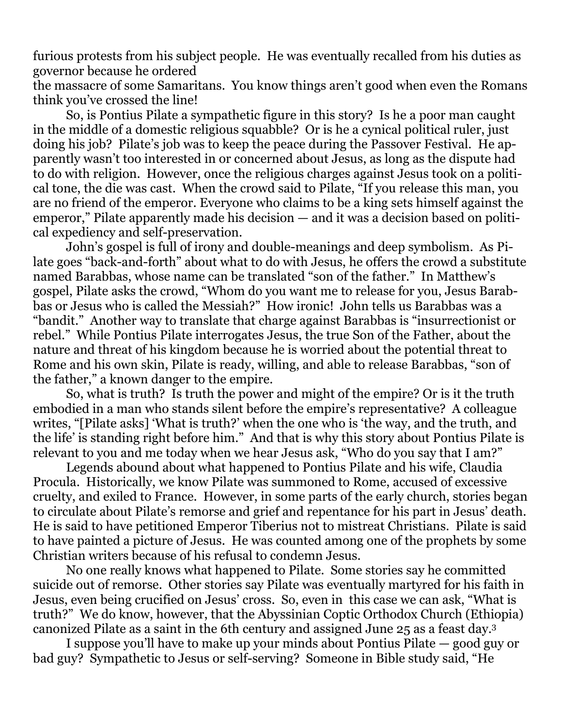furious protests from his subject people. He was eventually recalled from his duties as governor because he ordered

the massacre of some Samaritans. You know things aren't good when even the Romans think you've crossed the line!

 So, is Pontius Pilate a sympathetic figure in this story? Is he a poor man caught in the middle of a domestic religious squabble? Or is he a cynical political ruler, just doing his job? Pilate's job was to keep the peace during the Passover Festival. He apparently wasn't too interested in or concerned about Jesus, as long as the dispute had to do with religion. However, once the religious charges against Jesus took on a political tone, the die was cast. When the crowd said to Pilate, "If you release this man, you are no friend of the emperor. Everyone who claims to be a king sets himself against the emperor," Pilate apparently made his decision — and it was a decision based on political expediency and self-preservation.

 John's gospel is full of irony and double-meanings and deep symbolism. As Pilate goes "back-and-forth" about what to do with Jesus, he offers the crowd a substitute named Barabbas, whose name can be translated "son of the father." In Matthew's gospel, Pilate asks the crowd, "Whom do you want me to release for you, Jesus Barabbas or Jesus who is called the Messiah?" How ironic! John tells us Barabbas was a "bandit." Another way to translate that charge against Barabbas is "insurrectionist or rebel." While Pontius Pilate interrogates Jesus, the true Son of the Father, about the nature and threat of his kingdom because he is worried about the potential threat to Rome and his own skin, Pilate is ready, willing, and able to release Barabbas, "son of the father," a known danger to the empire.

 So, what is truth? Is truth the power and might of the empire? Or is it the truth embodied in a man who stands silent before the empire's representative? A colleague writes, "[Pilate asks] 'What is truth?' when the one who is 'the way, and the truth, and the life' is standing right before him." And that is why this story about Pontius Pilate is relevant to you and me today when we hear Jesus ask, "Who do you say that I am?"

 Legends abound about what happened to Pontius Pilate and his wife, Claudia Procula. Historically, we know Pilate was summoned to Rome, accused of excessive cruelty, and exiled to France. However, in some parts of the early church, stories began to circulate about Pilate's remorse and grief and repentance for his part in Jesus' death. He is said to have petitioned Emperor Tiberius not to mistreat Christians. Pilate is said to have painted a picture of Jesus. He was counted among one of the prophets by some Christian writers because of his refusal to condemn Jesus.

 No one really knows what happened to Pilate. Some stories say he committed suicide out of remorse. Other stories say Pilate was eventually martyred for his faith in Jesus, even being crucified on Jesus' cross. So, even in this case we can ask, "What is truth?" We do know, however, that the Abyssinian Coptic Orthodox Church (Ethiopia) canonized Pilate as a saint in the 6th century and assigned June 25 as a feast day.3

 I suppose you'll have to make up your minds about Pontius Pilate — good guy or bad guy? Sympathetic to Jesus or self-serving? Someone in Bible study said, "He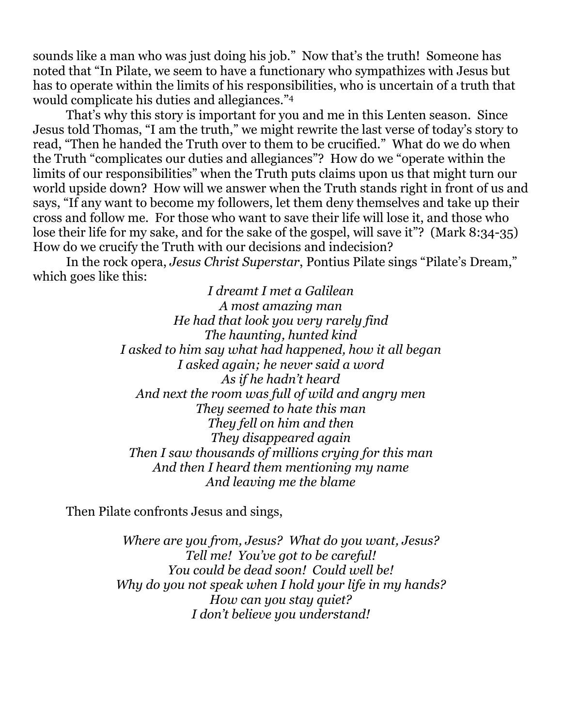sounds like a man who was just doing his job." Now that's the truth! Someone has noted that "In Pilate, we seem to have a functionary who sympathizes with Jesus but has to operate within the limits of his responsibilities, who is uncertain of a truth that would complicate his duties and allegiances."4

 That's why this story is important for you and me in this Lenten season. Since Jesus told Thomas, "I am the truth," we might rewrite the last verse of today's story to read, "Then he handed the Truth over to them to be crucified." What do we do when the Truth "complicates our duties and allegiances"? How do we "operate within the limits of our responsibilities" when the Truth puts claims upon us that might turn our world upside down? How will we answer when the Truth stands right in front of us and says, "If any want to become my followers, let them deny themselves and take up their cross and follow me. For those who want to save their life will lose it, and those who lose their life for my sake, and for the sake of the gospel, will save it"? (Mark 8:34-35) How do we crucify the Truth with our decisions and indecision?

 In the rock opera, *Jesus Christ Superstar*, Pontius Pilate sings "Pilate's Dream," which goes like this:

> *I dreamt I met a Galilean A most amazing man He had that look you very rarely find The haunting, hunted kind I asked to him say what had happened, how it all began I asked again; he never said a word As if he hadn't heard And next the room was full of wild and angry men They seemed to hate this man They fell on him and then They disappeared again Then I saw thousands of millions crying for this man And then I heard them mentioning my name And leaving me the blame*

Then Pilate confronts Jesus and sings,

*Where are you from, Jesus? What do you want, Jesus? Tell me! You've got to be careful! You could be dead soon! Could well be! Why do you not speak when I hold your life in my hands? How can you stay quiet? I don't believe you understand!*